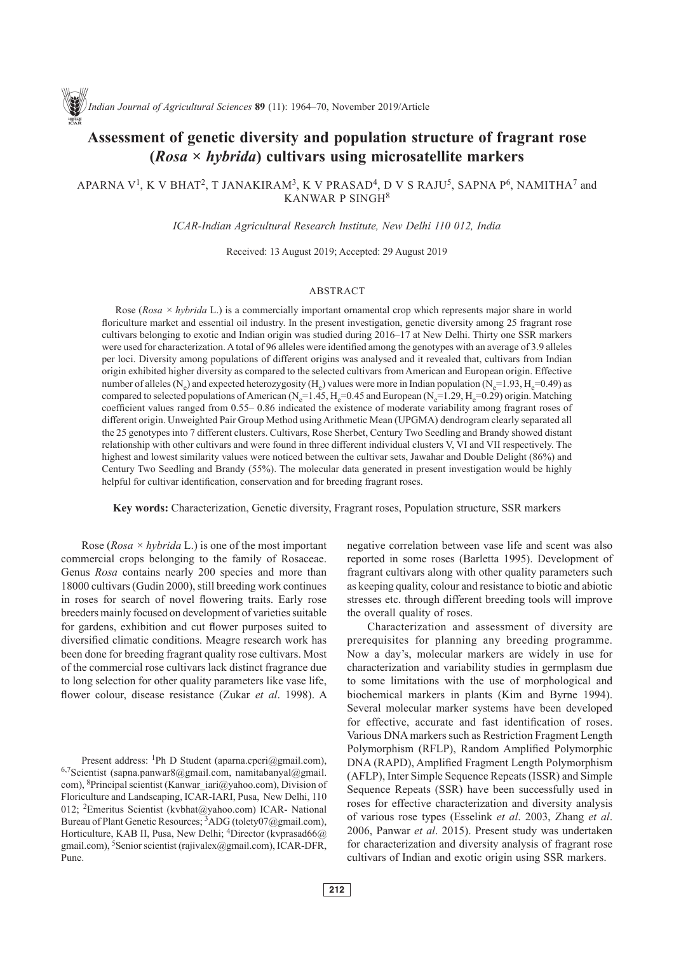# **Assessment of genetic diversity and population structure of fragrant rose (***Rosa × hybrida***) cultivars using microsatellite markers**

## APARNA V<sup>1</sup>, K V BHAT<sup>2</sup>, T JANAKIRAM<sup>3</sup>, K V PRASAD<sup>4</sup>, D V S RAJU<sup>5</sup>, SAPNA P<sup>6</sup>, NAMITHA<sup>7</sup> and KANWAR P SINGH<sup>8</sup>

*ICAR-Indian Agricultural Research Institute, New Delhi 110 012, India*

Received: 13 August 2019; Accepted: 29 August 2019

#### **ABSTRACT**

Rose (*Rosa × hybrida* L.) is a commercially important ornamental crop which represents major share in world floriculture market and essential oil industry. In the present investigation, genetic diversity among 25 fragrant rose cultivars belonging to exotic and Indian origin was studied during 2016–17 at New Delhi. Thirty one SSR markers were used for characterization. A total of 96 alleles were identified among the genotypes with an average of 3.9 alleles per loci. Diversity among populations of different origins was analysed and it revealed that, cultivars from Indian origin exhibited higher diversity as compared to the selected cultivars from American and European origin. Effective number of alleles (N<sub>e</sub>) and expected heterozygosity (H<sub>e</sub>) values were more in Indian population (N<sub>e</sub>=1.93, H<sub>e</sub>=0.49) as compared to selected populations of American ( $N_e=1.45$ ,  $H_e=0.45$  and European ( $N_e=1.29$ ,  $H_e=0.29$ ) origin. Matching coefficient values ranged from 0.55– 0.86 indicated the existence of moderate variability among fragrant roses of different origin. Unweighted Pair Group Method using Arithmetic Mean (UPGMA) dendrogram clearly separated all the 25 genotypes into 7 different clusters. Cultivars, Rose Sherbet, Century Two Seedling and Brandy showed distant relationship with other cultivars and were found in three different individual clusters V, VI and VII respectively. The highest and lowest similarity values were noticed between the cultivar sets, Jawahar and Double Delight (86%) and Century Two Seedling and Brandy (55%). The molecular data generated in present investigation would be highly helpful for cultivar identification, conservation and for breeding fragrant roses.

**Key words:** Characterization, Genetic diversity, Fragrant roses, Population structure, SSR markers

Rose (*Rosa × hybrida* L.) is one of the most important commercial crops belonging to the family of Rosaceae. Genus *Rosa* contains nearly 200 species and more than 18000 cultivars (Gudin 2000), still breeding work continues in roses for search of novel flowering traits. Early rose breeders mainly focused on development of varieties suitable for gardens, exhibition and cut flower purposes suited to diversified climatic conditions. Meagre research work has been done for breeding fragrant quality rose cultivars. Most of the commercial rose cultivars lack distinct fragrance due to long selection for other quality parameters like vase life, flower colour, disease resistance (Zukar *et al*. 1998). A

Present address: <sup>1</sup>Ph D Student (aparna.cpcri@gmail.com),  $6.7$ Scientist (sapna.panwar $8$ @gmail.com, namitabanyal@gmail. com), <sup>8</sup>Principal scientist (Kanwar\_iari@yahoo.com), Division of Floriculture and Landscaping, ICAR-IARI, Pusa, New Delhi, 110 012; 2Emeritus Scientist (kvbhat@yahoo.com) ICAR- National Bureau of Plant Genetic Resources; <sup>3</sup>ADG (tolety07@gmail.com), Horticulture, KAB II, Pusa, New Delhi; <sup>4</sup>Director (kvprasad66@) gmail.com), 5Senior scientist (rajivalex@gmail.com), ICAR-DFR, Pune.

negative correlation between vase life and scent was also reported in some roses (Barletta 1995). Development of fragrant cultivars along with other quality parameters such as keeping quality, colour and resistance to biotic and abiotic stresses etc. through different breeding tools will improve the overall quality of roses.

Characterization and assessment of diversity are prerequisites for planning any breeding programme. Now a day's, molecular markers are widely in use for characterization and variability studies in germplasm due to some limitations with the use of morphological and biochemical markers in plants (Kim and Byrne 1994). Several molecular marker systems have been developed for effective, accurate and fast identification of roses. Various DNA markers such as Restriction Fragment Length Polymorphism (RFLP), Random Amplified Polymorphic DNA (RAPD), Amplified Fragment Length Polymorphism (AFLP), Inter Simple Sequence Repeats (ISSR) and Simple Sequence Repeats (SSR) have been successfully used in roses for effective characterization and diversity analysis of various rose types (Esselink *et al*. 2003, Zhang *et al*. 2006, Panwar *et al*. 2015). Present study was undertaken for characterization and diversity analysis of fragrant rose cultivars of Indian and exotic origin using SSR markers.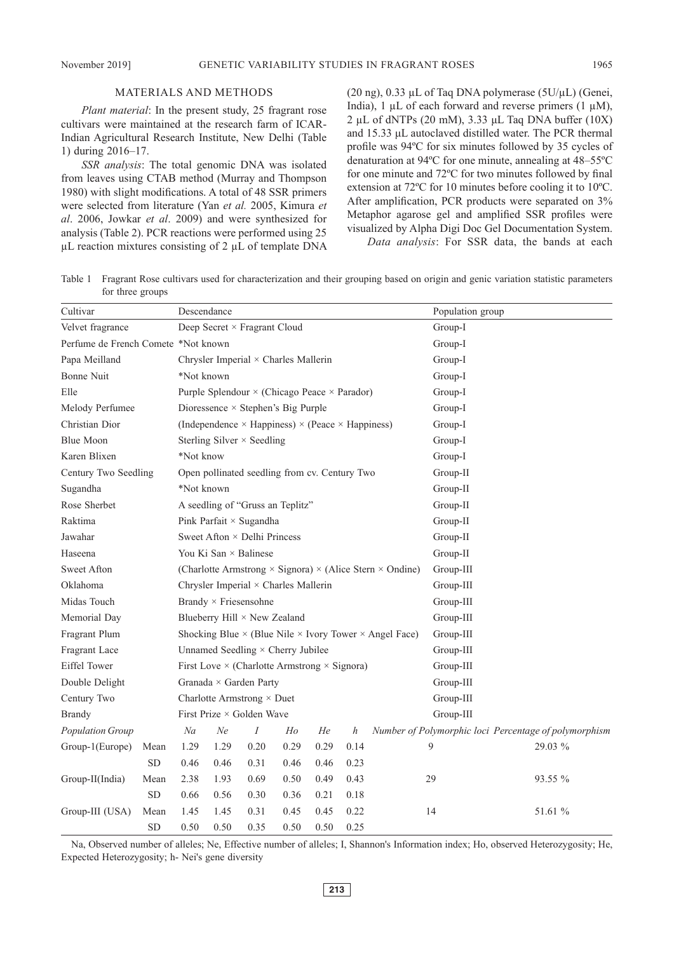#### MATERIALS AND METHODS

*Plant material*: In the present study, 25 fragrant rose cultivars were maintained at the research farm of ICAR-Indian Agricultural Research Institute, New Delhi (Table 1) during 2016–17.

*SSR analysis*: The total genomic DNA was isolated from leaves using CTAB method (Murray and Thompson 1980) with slight modifications. A total of 48 SSR primers were selected from literature (Yan *et al.* 2005, Kimura *et al*. 2006, Jowkar *et al*. 2009) and were synthesized for analysis (Table 2). PCR reactions were performed using 25  $\mu$ L reaction mixtures consisting of 2  $\mu$ L of template DNA (20 ng), 0.33 µL of Taq DNA polymerase ( $5U/\mu L$ ) (Genei, India), 1  $\mu$ L of each forward and reverse primers (1  $\mu$ M), 2 µL of dNTPs (20 mM), 3.33 μL Taq DNA buffer (10X) and 15.33 μL autoclaved distilled water. The PCR thermal profile was 94ºC for six minutes followed by 35 cycles of denaturation at 94ºC for one minute, annealing at 48–55ºC for one minute and 72ºC for two minutes followed by final extension at 72ºC for 10 minutes before cooling it to 10ºC. After amplification, PCR products were separated on 3% Metaphor agarose gel and amplified SSR profiles were visualized by Alpha Digi Doc Gel Documentation System. *Data analysis*: For SSR data, the bands at each

Table 1 Fragrant Rose cultivars used for characterization and their grouping based on origin and genic variation statistic parameters for three groups

| Cultivar                            |            | Descendance                                                                   |      |      |      |      |      | Population group |                                                       |  |         |  |
|-------------------------------------|------------|-------------------------------------------------------------------------------|------|------|------|------|------|------------------|-------------------------------------------------------|--|---------|--|
| Velvet fragrance                    |            | Deep Secret × Fragrant Cloud                                                  |      |      |      |      |      | Group-I          |                                                       |  |         |  |
| Perfume de French Comete *Not known |            |                                                                               |      |      |      |      |      | Group-I          |                                                       |  |         |  |
| Papa Meilland                       |            | Chrysler Imperial × Charles Mallerin                                          |      |      |      |      |      | Group-I          |                                                       |  |         |  |
| <b>Bonne Nuit</b>                   |            | *Not known                                                                    |      |      |      |      |      | Group-I          |                                                       |  |         |  |
| Elle                                |            | Purple Splendour × (Chicago Peace × Parador)                                  |      |      |      |      |      | Group-I          |                                                       |  |         |  |
| Melody Perfumee                     |            | Dioressence $\times$ Stephen's Big Purple                                     |      |      |      |      |      |                  | Group-I                                               |  |         |  |
| Christian Dior                      |            | (Independence $\times$ Happiness) $\times$ (Peace $\times$ Happiness)         |      |      |      |      |      |                  | Group-I                                               |  |         |  |
| <b>Blue Moon</b>                    |            | Sterling Silver $\times$ Seedling                                             |      |      |      |      |      | Group-I          |                                                       |  |         |  |
| Karen Blixen                        |            | *Not know                                                                     |      |      |      |      |      | Group-I          |                                                       |  |         |  |
| Century Two Seedling                |            | Open pollinated seedling from cv. Century Two                                 |      |      |      |      |      | Group-II         |                                                       |  |         |  |
| Sugandha                            |            | *Not known                                                                    |      |      |      |      |      | Group-II         |                                                       |  |         |  |
| Rose Sherbet                        |            | A seedling of "Gruss an Teplitz"                                              |      |      |      |      |      | Group-II         |                                                       |  |         |  |
| Raktima                             |            | Pink Parfait × Sugandha                                                       |      |      |      |      |      | Group-II         |                                                       |  |         |  |
| Jawahar                             |            | Sweet Afton $\times$ Delhi Princess                                           |      |      |      |      |      | Group-II         |                                                       |  |         |  |
| Haseena                             |            | You Ki San × Balinese                                                         |      |      |      |      |      | Group-II         |                                                       |  |         |  |
| Sweet Afton                         |            | (Charlotte Armstrong $\times$ Signora) $\times$ (Alice Stern $\times$ Ondine) |      |      |      |      |      | Group-III        |                                                       |  |         |  |
| Oklahoma                            |            | Chrysler Imperial × Charles Mallerin                                          |      |      |      |      |      |                  | Group-III                                             |  |         |  |
| Midas Touch                         |            | Brandy × Friesensohne                                                         |      |      |      |      |      | Group-III        |                                                       |  |         |  |
| Memorial Day                        |            | Blueberry Hill × New Zealand                                                  |      |      |      |      |      | Group-III        |                                                       |  |         |  |
| Fragrant Plum                       |            | Shocking Blue $\times$ (Blue Nile $\times$ Ivory Tower $\times$ Angel Face)   |      |      |      |      |      | Group-III        |                                                       |  |         |  |
| Fragrant Lace                       |            | Unnamed Seedling × Cherry Jubilee                                             |      |      |      |      |      | Group-III        |                                                       |  |         |  |
| Eiffel Tower                        |            | First Love $\times$ (Charlotte Armstrong $\times$ Signora)                    |      |      |      |      |      | Group-III        |                                                       |  |         |  |
| Double Delight                      |            | Granada × Garden Party                                                        |      |      |      |      |      | Group-III        |                                                       |  |         |  |
| Century Two                         |            | Charlotte Armstrong × Duet                                                    |      |      |      |      |      | Group-III        |                                                       |  |         |  |
| <b>Brandy</b>                       |            | First Prize × Golden Wave                                                     |      |      |      |      |      | Group-III        |                                                       |  |         |  |
| Population Group                    |            | Na                                                                            | Ne   | Ι    | Ho   | He   | h    |                  | Number of Polymorphic loci Percentage of polymorphism |  |         |  |
| Group-1(Europe)                     | Mean       | 1.29                                                                          | 1.29 | 0.20 | 0.29 | 0.29 | 0.14 |                  | 9                                                     |  | 29.03 % |  |
|                                     | ${\rm SD}$ | 0.46                                                                          | 0.46 | 0.31 | 0.46 | 0.46 | 0.23 |                  |                                                       |  |         |  |
| Group-II(India)                     | Mean       | 2.38                                                                          | 1.93 | 0.69 | 0.50 | 0.49 | 0.43 |                  | 29                                                    |  | 93.55 % |  |
|                                     | ${\rm SD}$ | 0.66                                                                          | 0.56 | 0.30 | 0.36 | 0.21 | 0.18 |                  |                                                       |  |         |  |
| Group-III (USA)                     | Mean       | 1.45                                                                          | 1.45 | 0.31 | 0.45 | 0.45 | 0.22 |                  | 14                                                    |  | 51.61 % |  |
|                                     | <b>SD</b>  | 0.50                                                                          | 0.50 | 0.35 | 0.50 | 0.50 | 0.25 |                  |                                                       |  |         |  |

Na, Observed number of alleles; Ne, Effective number of alleles; I, Shannon's Information index; Ho, observed Heterozygosity; He, Expected Heterozygosity; h- Nei's gene diversity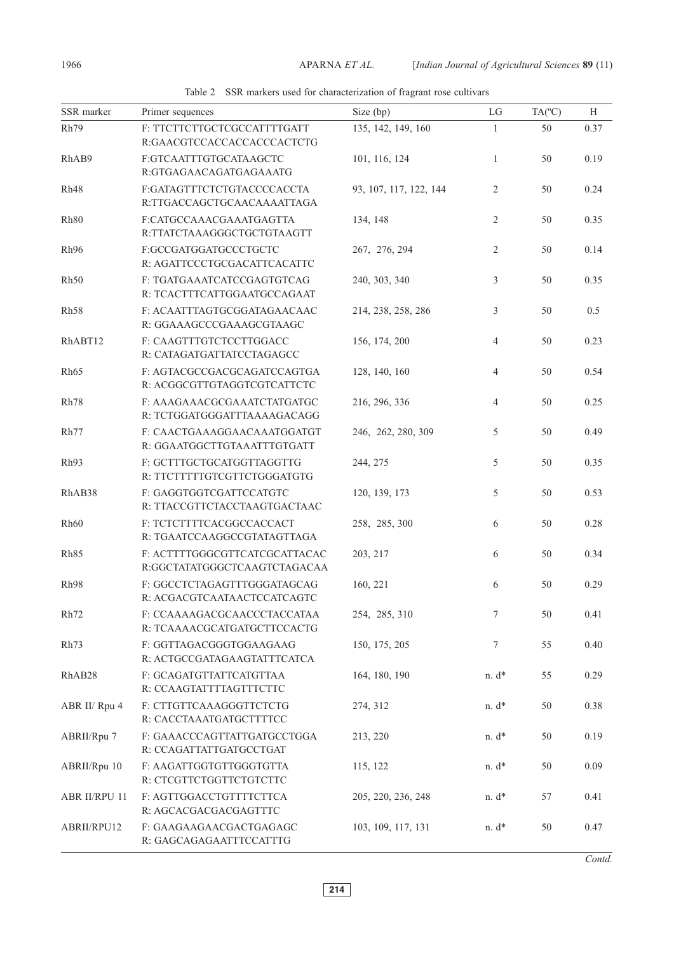Table 2 SSR markers used for characterization of fragrant rose cultivars

| SSR marker           | Primer sequences                                              | Size (bp)              | LG             | $TA(^{\circ}C)$ | H    |
|----------------------|---------------------------------------------------------------|------------------------|----------------|-----------------|------|
| Rh79                 | F: TTCTTCTTGCTCGCCATTTTGATT<br>R:GAACGTCCACCACCACCCACTCTG     | 135, 142, 149, 160     | $\mathbf{1}$   | 50              | 0.37 |
| RhAB9                | F:GTCAATTTGTGCATAAGCTC<br>R:GTGAGAACAGATGAGAAATG              | 101, 116, 124          | 1              | 50              | 0.19 |
| Rh <sub>48</sub>     | F:GATAGTTTCTCTGTACCCCACCTA<br>R:TTGACCAGCTGCAACAAAATTAGA      | 93, 107, 117, 122, 144 | 2              | 50              | 0.24 |
| Rh <sub>80</sub>     | F:CATGCCAAACGAAATGAGTTA<br>R:TTATCTAAAGGGCTGCTGTAAGTT         | 134, 148               | $\overline{2}$ | 50              | 0.35 |
| Rh <sub>96</sub>     | F:GCCGATGGATGCCCTGCTC<br>R: AGATTCCCTGCGACATTCACATTC          | 267, 276, 294          | $\overline{2}$ | 50              | 0.14 |
| Rh50                 | F: TGATGAAATCATCCGAGTGTCAG<br>R: TCACTTTCATTGGAATGCCAGAAT     | 240, 303, 340          | 3              | 50              | 0.35 |
| Rh <sub>58</sub>     | F: ACAATTTAGTGCGGATAGAACAAC<br>R: GGAAAGCCCGAAAGCGTAAGC       | 214, 238, 258, 286     | 3              | 50              | 0.5  |
| RhABT12              | F: CAAGTTTGTCTCCTTGGACC<br>R: CATAGATGATTATCCTAGAGCC          | 156, 174, 200          | $\overline{4}$ | $50\,$          | 0.23 |
| Rh65                 | F: AGTACGCCGACGCAGATCCAGTGA<br>R: ACGGCGTTGTAGGTCGTCATTCTC    | 128, 140, 160          | $\overline{4}$ | 50              | 0.54 |
| Rh78                 | F: AAAGAAACGCGAAATCTATGATGC<br>R: TCTGGATGGGATTTAAAAGACAGG    | 216, 296, 336          | 4              | 50              | 0.25 |
| Rh77                 | F: CAACTGAAAGGAACAAATGGATGT<br>R: GGAATGGCTTGTAAATTTGTGATT    | 246, 262, 280, 309     | 5              | 50              | 0.49 |
| Rh <sub>93</sub>     | F: GCTTTGCTGCATGGTTAGGTTG<br>R: TTCTTTTTGTCGTTCTGGGATGTG      | 244, 275               | 5              | 50              | 0.35 |
| RhAB38               | F: GAGGTGGTCGATTCCATGTC<br>R: TTACCGTTCTACCTAAGTGACTAAC       | 120, 139, 173          | 5              | 50              | 0.53 |
| Rh60                 | F: TCTCTTTTCACGGCCACCACT<br>R: TGAATCCAAGGCCGTATAGTTAGA       | 258, 285, 300          | 6              | 50              | 0.28 |
| Rh85                 | F: ACTTTTGGGCGTTCATCGCATTACAC<br>R:GGCTATATGGGCTCAAGTCTAGACAA | 203, 217               | 6              | 50              | 0.34 |
| Rh98                 | F: GGCCTCTAGAGTTTGGGATAGCAG<br>R: ACGACGTCAATAACTCCATCAGTC    | 160, 221               | 6              | 50              | 0.29 |
| Rh72                 | F: CCAAAAGACGCAACCCTACCATAA<br>R: TCAAAACGCATGATGCTTCCACTG    | 254, 285, 310          | 7              | 50              | 0.41 |
| Rh73                 | F: GGTTAGACGGGTGGAAGAAG<br>R: ACTGCCGATAGAAGTATTTCATCA        | 150, 175, 205          | 7              | 55              | 0.40 |
| RhAB <sub>28</sub>   | F: GCAGATGTTATTCATGTTAA<br>R: CCAAGTATTTTAGTTTCTTC            | 164, 180, 190          | $n. d*$        | 55              | 0.29 |
| ABR II/ Rpu 4        | F: CTTGTTCAAAGGGTTCTCTG<br>R: CACCTAAATGATGCTTTTCC            | 274, 312               | $n. d*$        | 50              | 0.38 |
| ABRII/Rpu 7          | F: GAAACCCAGTTATTGATGCCTGGA<br>R: CCAGATTATTGATGCCTGAT        | 213, 220               | $n. d*$        | 50              | 0.19 |
| ABRII/Rpu 10         | F: AAGATTGGTGTTGGGTGTTA<br>R: CTCGTTCTGGTTCTGTCTTC            | 115, 122               | $n. d*$        | 50              | 0.09 |
| <b>ABR II/RPU 11</b> | F: AGTTGGACCTGTTTTCTTCA<br>R: AGCACGACGACGAGTTTC              | 205, 220, 236, 248     | $n. d^*$       | 57              | 0.41 |
| ABRII/RPU12          | F: GAAGAAGAACGACTGAGAGC<br>R: GAGCAGAGAATTTCCATTTG            | 103, 109, 117, 131     | $n. d^*$       | 50              | 0.47 |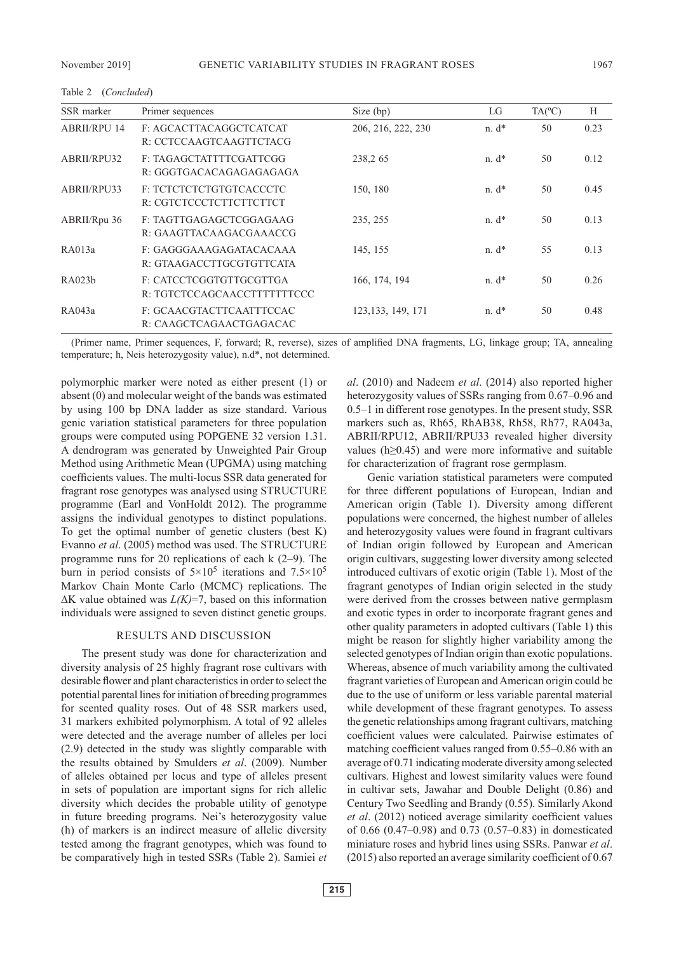| SSR marker          | Primer sequences                                       | Size (bp)          | LG         | $TA(^{\circ}C)$ | Н    |
|---------------------|--------------------------------------------------------|--------------------|------------|-----------------|------|
| <b>ABRII/RPU 14</b> | F: AGCACTTACAGGCTCATCAT<br>R: CCTCCAAGTCAAGTTCTACG     | 206, 216, 222, 230 | $n. d^*$   | 50              | 0.23 |
| ABRII/RPU32         | F: TAGAGCTATTTTCGATTCGG<br>R: GGGTGACACAGAGAGAGAGA     | 238,265            | $n. d^*$   | 50              | 0.12 |
| ABRII/RPU33         | F: TCTCTCTCTGTGTCACCCTC<br>R: CGTCTCCCTCTTCTTCTTCT     | 150, 180           | $n \, d^*$ | 50              | 0.45 |
| ABRII/Rpu 36        | F: TAGTTGAGAGCTCGGAGAAG<br>R: GAAGTTACAAGACGAAACCG     | 235, 255           | $n. d^*$   | 50              | 0.13 |
| RA013a              | F: GAGGGAAAGAGATACACAAA<br>R: GTAAGACCTTGCGTGTTCATA    | 145, 155           | $n. d^*$   | 55              | 0.13 |
| RA023h              | F: CATCCTCGGTGTTGCGTTGA<br>R: TGTCTCCAGCAACCTTTTTTTCCC | 166, 174, 194      | $n \, d^*$ | 50              | 0.26 |
| RA043a              | F: GCAACGTACTTCAATTTCCAC<br>R: CAAGCTCAGAACTGAGACAC    | 123, 133, 149, 171 | $n \, d^*$ | 50              | 0.48 |

(Primer name, Primer sequences, F, forward; R, reverse), sizes of amplified DNA fragments, LG, linkage group; TA, annealing temperature; h, Neis heterozygosity value), n.d\*, not determined.

polymorphic marker were noted as either present (1) or absent (0) and molecular weight of the bands was estimated by using 100 bp DNA ladder as size standard. Various genic variation statistical parameters for three population groups were computed using POPGENE 32 version 1.31. A dendrogram was generated by Unweighted Pair Group Method using Arithmetic Mean (UPGMA) using matching coefficients values. The multi-locus SSR data generated for fragrant rose genotypes was analysed using STRUCTURE programme (Earl and VonHoldt 2012). The programme assigns the individual genotypes to distinct populations. To get the optimal number of genetic clusters (best K) Evanno *et al*. (2005) method was used. The STRUCTURE programme runs for 20 replications of each k (2–9). The burn in period consists of  $5 \times 10^5$  iterations and  $7.5 \times 10^5$ Markov Chain Monte Carlo (MCMC) replications. The ∆K value obtained was *L(K)*=7, based on this information individuals were assigned to seven distinct genetic groups.

### RESULTS AND DISCUSSION

The present study was done for characterization and diversity analysis of 25 highly fragrant rose cultivars with desirable flower and plant characteristics in order to select the potential parental lines for initiation of breeding programmes for scented quality roses. Out of 48 SSR markers used, 31 markers exhibited polymorphism. A total of 92 alleles were detected and the average number of alleles per loci (2.9) detected in the study was slightly comparable with the results obtained by Smulders *et al*. (2009). Number of alleles obtained per locus and type of alleles present in sets of population are important signs for rich allelic diversity which decides the probable utility of genotype in future breeding programs. Nei's heterozygosity value (h) of markers is an indirect measure of allelic diversity tested among the fragrant genotypes, which was found to be comparatively high in tested SSRs (Table 2). Samiei *et* 

*al*. (2010) and Nadeem *et al*. (2014) also reported higher heterozygosity values of SSRs ranging from 0.67–0.96 and 0.5–1 in different rose genotypes. In the present study, SSR markers such as, Rh65, RhAB38, Rh58, Rh77, RA043a, ABRII/RPU12, ABRII/RPU33 revealed higher diversity values (h≥0.45) and were more informative and suitable for characterization of fragrant rose germplasm.

Genic variation statistical parameters were computed for three different populations of European, Indian and American origin (Table 1). Diversity among different populations were concerned, the highest number of alleles and heterozygosity values were found in fragrant cultivars of Indian origin followed by European and American origin cultivars, suggesting lower diversity among selected introduced cultivars of exotic origin (Table 1). Most of the fragrant genotypes of Indian origin selected in the study were derived from the crosses between native germplasm and exotic types in order to incorporate fragrant genes and other quality parameters in adopted cultivars (Table 1) this might be reason for slightly higher variability among the selected genotypes of Indian origin than exotic populations. Whereas, absence of much variability among the cultivated fragrant varieties of European and American origin could be due to the use of uniform or less variable parental material while development of these fragrant genotypes. To assess the genetic relationships among fragrant cultivars, matching coefficient values were calculated. Pairwise estimates of matching coefficient values ranged from 0.55–0.86 with an average of 0.71 indicating moderate diversity among selected cultivars. Highest and lowest similarity values were found in cultivar sets, Jawahar and Double Delight (0.86) and Century Two Seedling and Brandy (0.55). Similarly Akond *et al*. (2012) noticed average similarity coefficient values of 0.66 (0.47–0.98) and 0.73 (0.57–0.83) in domesticated miniature roses and hybrid lines using SSRs. Panwar *et al*. (2015) also reported an average similarity coefficient of 0.67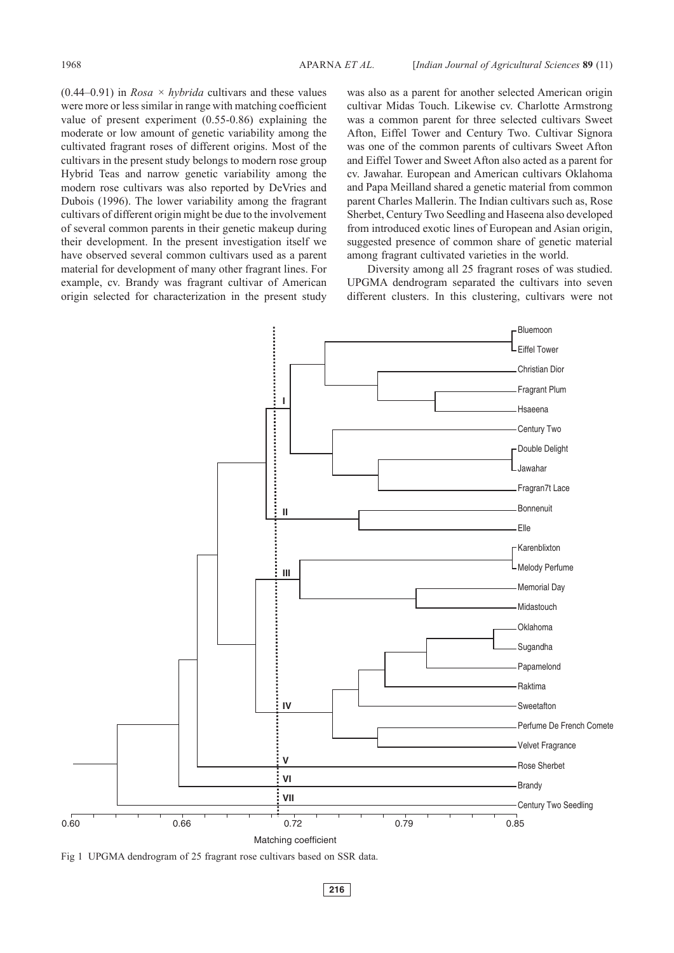$(0.44-0.91)$  in *Rosa*  $\times$  *hybrida* cultivars and these values were more or less similar in range with matching coefficient value of present experiment (0.55-0.86) explaining the moderate or low amount of genetic variability among the cultivated fragrant roses of different origins. Most of the cultivars in the present study belongs to modern rose group Hybrid Teas and narrow genetic variability among the modern rose cultivars was also reported by DeVries and Dubois (1996). The lower variability among the fragrant cultivars of different origin might be due to the involvement of several common parents in their genetic makeup during their development. In the present investigation itself we have observed several common cultivars used as a parent material for development of many other fragrant lines. For example, cv. Brandy was fragrant cultivar of American origin selected for characterization in the present study

was also as a parent for another selected American origin cultivar Midas Touch. Likewise cv. Charlotte Armstrong was a common parent for three selected cultivars Sweet Afton, Eiffel Tower and Century Two. Cultivar Signora was one of the common parents of cultivars Sweet Afton and Eiffel Tower and Sweet Afton also acted as a parent for cv. Jawahar. European and American cultivars Oklahoma and Papa Meilland shared a genetic material from common parent Charles Mallerin. The Indian cultivars such as, Rose Sherbet, Century Two Seedling and Haseena also developed from introduced exotic lines of European and Asian origin, suggested presence of common share of genetic material among fragrant cultivated varieties in the world.

Diversity among all 25 fragrant roses of was studied. UPGMA dendrogram separated the cultivars into seven different clusters. In this clustering, cultivars were not



Fig 1 UPGMA dendrogram of 25 fragrant rose cultivars based on SSR data.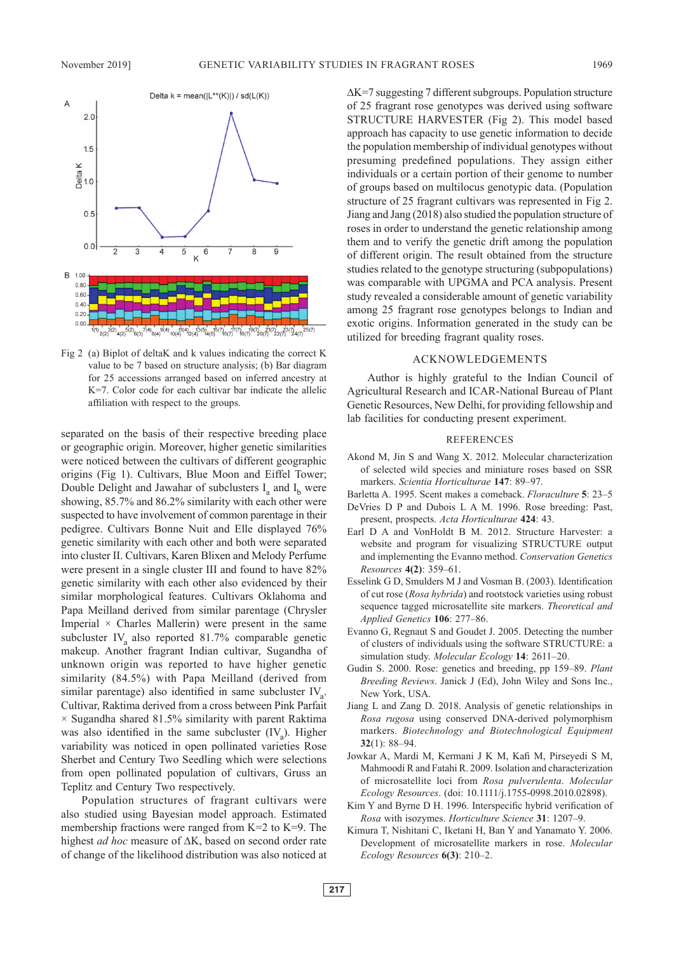

Fig 2 (a) Biplot of deltaK and k values indicating the correct K value to be 7 based on structure analysis; (b) Bar diagram for 25 accessions arranged based on inferred ancestry at K=7. Color code for each cultivar bar indicate the allelic affiliation with respect to the groups.

separated on the basis of their respective breeding place or geographic origin. Moreover, higher genetic similarities were noticed between the cultivars of different geographic origins (Fig 1). Cultivars, Blue Moon and Eiffel Tower; Double Delight and Jawahar of subclusters  $I_a$  and  $I_b$  were showing, 85.7% and 86.2% similarity with each other were suspected to have involvement of common parentage in their pedigree. Cultivars Bonne Nuit and Elle displayed 76% genetic similarity with each other and both were separated into cluster II. Cultivars, Karen Blixen and Melody Perfume were present in a single cluster III and found to have 82% genetic similarity with each other also evidenced by their similar morphological features. Cultivars Oklahoma and Papa Meilland derived from similar parentage (Chrysler Imperial  $\times$  Charles Mallerin) were present in the same subcluster IV<sub>a</sub> also reported  $81.7\%$  comparable genetic makeup. Another fragrant Indian cultivar, Sugandha of unknown origin was reported to have higher genetic similarity (84.5%) with Papa Meilland (derived from similar parentage) also identified in same subcluster  $IV_a$ . Cultivar, Raktima derived from a cross between Pink Parfait  $\times$  Sugandha shared 81.5% similarity with parent Raktima was also identified in the same subcluster  $(IV_a)$ . Higher variability was noticed in open pollinated varieties Rose Sherbet and Century Two Seedling which were selections from open pollinated population of cultivars, Gruss an Teplitz and Century Two respectively.

Population structures of fragrant cultivars were also studied using Bayesian model approach. Estimated membership fractions were ranged from K=2 to K=9. The highest *ad hoc* measure of ∆K, based on second order rate of change of the likelihood distribution was also noticed at ∆K=7 suggesting 7 different subgroups. Population structure of 25 fragrant rose genotypes was derived using software STRUCTURE HARVESTER (Fig 2). This model based approach has capacity to use genetic information to decide the population membership of individual genotypes without presuming predefined populations. They assign either individuals or a certain portion of their genome to number of groups based on multilocus genotypic data. (Population structure of 25 fragrant cultivars was represented in Fig 2. Jiang and Jang (2018) also studied the population structure of roses in order to understand the genetic relationship among them and to verify the genetic drift among the population of different origin. The result obtained from the structure studies related to the genotype structuring (subpopulations) was comparable with UPGMA and PCA analysis. Present study revealed a considerable amount of genetic variability among 25 fragrant rose genotypes belongs to Indian and exotic origins. Information generated in the study can be utilized for breeding fragrant quality roses.

#### ACKNOWLEDGEMENTS

Author is highly grateful to the Indian Council of Agricultural Research and ICAR-National Bureau of Plant Genetic Resources, New Delhi, for providing fellowship and lab facilities for conducting present experiment.

#### REFERENCES

- Akond M, Jin S and Wang X. 2012. Molecular characterization of selected wild species and miniature roses based on SSR markers. *Scientia Horticulturae* **147**: 89–97.
- Barletta A. 1995. Scent makes a comeback. *Floraculture* **5**: 23–5
- DeVries D P and Dubois L A M. 1996. Rose breeding: Past, present, prospects. *Acta Horticulturae* **424**: 43.
- Earl D A and VonHoldt B M. 2012. Structure Harvester: a website and program for visualizing STRUCTURE output and implementing the Evanno method. *Conservation Genetics Resources* **4(2)**: 359–61.
- Esselink G D, Smulders M J and Vosman B. (2003). Identification of cut rose (*Rosa hybrida*) and rootstock varieties using robust sequence tagged microsatellite site markers. *Theoretical and Applied Genetics* **106**: 277–86.
- Evanno G, Regnaut S and Goudet J. 2005. Detecting the number of clusters of individuals using the software STRUCTURE: a simulation study. *Molecular Ecology* **14**: 2611–20.
- Gudin S. 2000. Rose: genetics and breeding, pp 159–89. *Plant Breeding Reviews*. Janick J (Ed), John Wiley and Sons Inc., New York, USA.
- Jiang L and Zang D. 2018. Analysis of genetic relationships in *Rosa rugosa* using conserved DNA-derived polymorphism markers. *Biotechnology and Biotechnological Equipment* **32**(1): 88–94.
- Jowkar A, Mardi M, Kermani J K M, Kafi M, Pirseyedi S M, Mahmoodi R and Fatahi R. 2009. Isolation and characterization of microsatellite loci from *Rosa pulverulenta*. *Molecular Ecology Resources*. (doi: 10.1111/j.1755-0998.2010.02898).
- Kim Y and Byrne D H. 1996. Interspecific hybrid verification of *Rosa* with isozymes. *Horticulture Science* **31**: 1207–9.
- Kimura T, Nishitani C, Iketani H, Ban Y and Yanamato Y. 2006. Development of microsatellite markers in rose. *Molecular Ecology Resources* **6(3)**: 210–2.